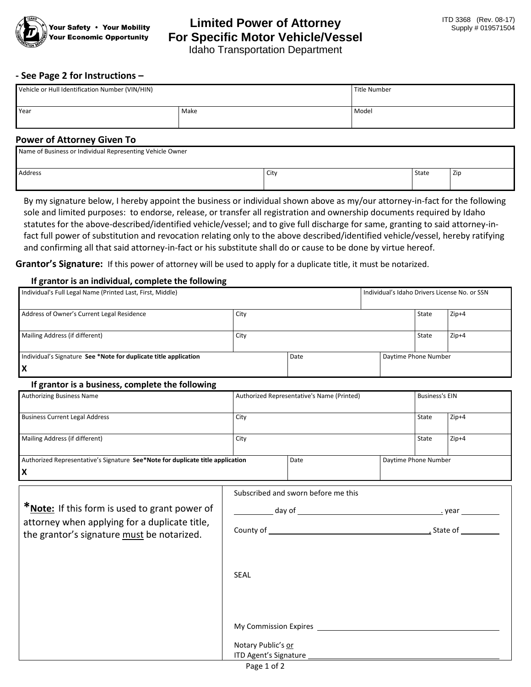

# **Limited Power of Attorney For Specific Motor Vehicle/Vessel**

Idaho Transportation Department

### **- See Page 2 for Instructions –**

| Vehicle or Hull Identification Number (VIN/HIN) |      | Title Number |
|-------------------------------------------------|------|--------------|
| <b>Year</b>                                     | Make | Model        |

#### **Power of Attorney Given To**

| Name of Business or Individual Representing Vehicle Owner |      |              |            |
|-----------------------------------------------------------|------|--------------|------------|
| Address                                                   | City | <b>State</b> | <b>Zip</b> |

By my signature below, I hereby appoint the business or individual shown above as my/our attorney-in-fact for the following sole and limited purposes: to endorse, release, or transfer all registration and ownership documents required by Idaho statutes for the above-described/identified vehicle/vessel; and to give full discharge for same, granting to said attorney-infact full power of substitution and revocation relating only to the above described/identified vehicle/vessel, hereby ratifying and confirming all that said attorney-in-fact or his substitute shall do or cause to be done by virtue hereof.

**Grantor's Signature:** If this power of attorney will be used to apply for a duplicate title, it must be notarized.

#### **If grantor is an individual, complete the following**

| Individual's Full Legal Name (Printed Last, First, Middle)       |      |      | I Individual's Idaho Drivers License No. or SSN |                      |         |
|------------------------------------------------------------------|------|------|-------------------------------------------------|----------------------|---------|
| Address of Owner's Current Legal Residence                       | City |      |                                                 | State                | $Zip+4$ |
| Mailing Address (if different)                                   | City |      |                                                 | State                | $Zip+4$ |
| Individual's Signature See *Note for duplicate title application |      | Date |                                                 | Daytime Phone Number |         |
|                                                                  |      |      |                                                 |                      |         |

#### **If grantor is a business, complete the following**

| . .                                                                            |      |                                            |                      |                       |         |
|--------------------------------------------------------------------------------|------|--------------------------------------------|----------------------|-----------------------|---------|
| <b>Authorizing Business Name</b>                                               |      | Authorized Representative's Name (Printed) |                      | <b>Business's EIN</b> |         |
| <b>Business Current Legal Address</b>                                          | City |                                            |                      | State                 | $Zip+4$ |
| Mailing Address (if different)                                                 | City |                                            |                      | State                 | $Zip+4$ |
| Authorized Representative's Signature See*Note for duplicate title application |      | Date                                       | Daytime Phone Number |                       |         |
| lx                                                                             |      |                                            |                      |                       |         |

|                                                                                             | Subscribed and sworn before me this                                                                                                                                                                                            |            |  |
|---------------------------------------------------------------------------------------------|--------------------------------------------------------------------------------------------------------------------------------------------------------------------------------------------------------------------------------|------------|--|
| * <b>Note:</b> If this form is used to grant power of                                       |                                                                                                                                                                                                                                |            |  |
| attorney when applying for a duplicate title,<br>the grantor's signature must be notarized. |                                                                                                                                                                                                                                | , State of |  |
|                                                                                             |                                                                                                                                                                                                                                |            |  |
|                                                                                             | <b>SEAL</b>                                                                                                                                                                                                                    |            |  |
|                                                                                             |                                                                                                                                                                                                                                |            |  |
|                                                                                             |                                                                                                                                                                                                                                |            |  |
|                                                                                             | My Commission Expires and the commission of the control of the control of the control of the control of the control of the control of the control of the control of the control of the control of the control of the control o |            |  |
|                                                                                             | Notary Public's or                                                                                                                                                                                                             |            |  |
|                                                                                             | ITD Agent's Signature _____________                                                                                                                                                                                            |            |  |

Page 1 of 2